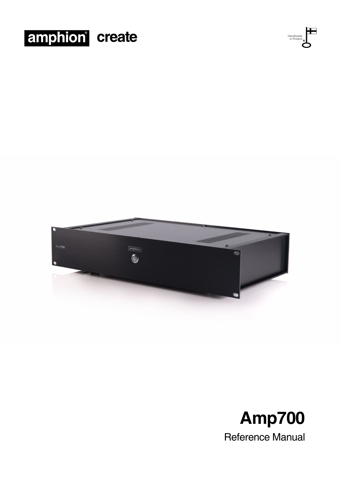





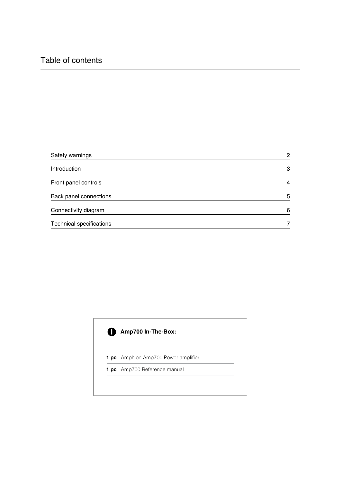| Safety warnings                 | $\overline{2}$ |
|---------------------------------|----------------|
| Introduction                    | 3              |
| Front panel controls            | $\overline{4}$ |
| Back panel connections          | 5              |
| Connectivity diagram            | 6              |
| <b>Technical specifications</b> | 7              |

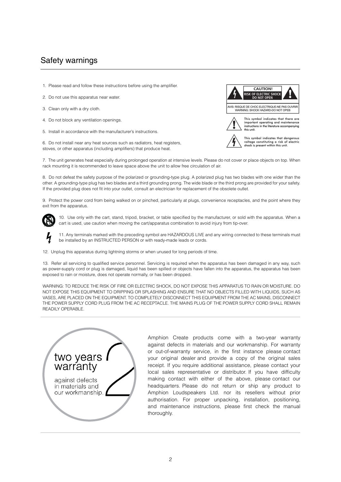# Safety warnings

1. Please read and follow these instructions before using the amplifier.

- 2. Do not use this apparatus near water.
- 3. Clean only with a dry cloth.
- 4. Do not block any ventilation openings.
- 5. Install in accordance with the manufacturer's instructions.

6. Do not install near any heat sources such as radiators, heat registers, stoves, or other apparatus (including amplifiers) that produce heat.



AVIS: RISQUE DE CHOC ELECTRIQUE-NE PAS OUVRIP<br>WARNING: SHOCK HAZARD-DO NOT OPEB



This symbol indicates that there are important operating and maintenance instructions in the literature accompanying this unit.



This symbol indicates that dangerous voltage constituting a risk of electric<br>shock is present within this unit.

7. The unit generates heat especially during prolonged operation at intensive levels. Please do not cover or place objects on top. When rack mounting it is recommended to leave space above the unit to allow free circulation of air.

8. Do not defeat the safety purpose of the polarized or grounding-type plug. A polarized plug has two blades with one wider than the other. A grounding-type plug has two blades and a third grounding prong. The wide blade or the third prong are provided for your safety. If the provided plug does not fit into your outlet, consult an electrician for replacement of the obsolete outlet.

9. Protect the power cord from being walked on or pinched, particularly at plugs, convenience receptacles, and the point where they exit from the apparatus.



 $\frac{1}{2}$ 

10. Use only with the cart, stand, tripod, bracket, or table specified by the manufacturer, or sold with the apparatus. When a cart is used, use caution when moving the cart/apparatus combination to avoid injury from tip-over.

11. Any terminals marked with the preceding symbol are HAZARDOUS LIVE and any wiring connected to these terminals must be installed by an INSTRUCTED PERSON or with ready-made leads or cords.

12. Unplug this apparatus during lightning storms or when unused for long periods of time.

13. Refer all servicing to qualified service personnel. Servicing is required when the apparatus has been damaged in any way, such as power-supply cord or plug is damaged, liquid has been spilled or objects have fallen into the apparatus, the apparatus has been exposed to rain or moisture, does not operate normally, or has been dropped.

WARNING: TO REDUCE THE RISK OF FIRE OR ELECTRIC SHOCK, DO NOT EXPOSE THIS APPARATUS TO RAIN OR MOISTURE. DO NOT EXPOSE THIS EQUIPMENT TO DRIPPING OR SPLASHING AND ENSURE THAT NO OBJECTS FILLED WITH LIQUIDS, SUCH AS VASES, ARE PLACED ON THE EQUIPMENT. TO COMPLETELY DISCONNECT THIS EQUIPMENT FROM THE AC MAINS, DISCONNECT THE POWER SUPPLY CORD PLUG FROM THE AC RECEPTACLE. THE MAINS PLUG OF THE POWER SUPPLY CORD SHALL REMAIN READILY OPERABLE.



Amphion Create products come with a two-year warranty against defects in materials and our workmanship. For warranty or out-of-warranty service, in the first instance please contact your original dealer and provide a copy of the original sales receipt. If you require additional assistance, please contact your local sales representative or distributor. If you have difficulty making contact with either of the above, please contact our headquarters. Please do not return or ship any product to Amphion Loudspeakers Ltd. nor its resellers without prior authorisation. For proper unpacking, installation, positioning, and maintenance instructions, please first check the manual thoroughly.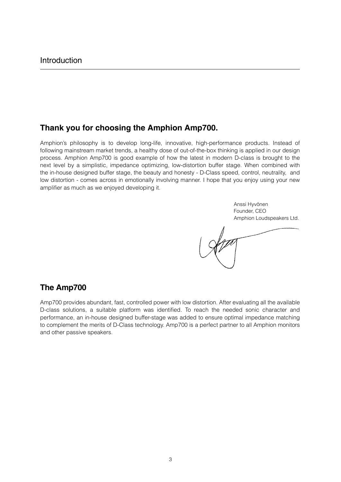# **Thank you for choosing the Amphion Amp700.**

Amphion's philosophy is to develop long-life, innovative, high-performance products. Instead of following mainstream market trends, a healthy dose of out-of-the-box thinking is applied in our design process. Amphion Amp700 is good example of how the latest in modern D-class is brought to the next level by a simplistic, impedance optimizing, low-distortion buffer stage. When combined with the in-house designed buffer stage, the beauty and honesty - D-Class speed, control, neutrality, and low distortion - comes across in emotionally involving manner. I hope that you enjoy using your new amplifier as much as we enjoyed developing it.

> Anssi Hyvönen Founder, CEO Amphion Loudspeakers Ltd.

## **The Amp700**

Amp700 provides abundant, fast, controlled power with low distortion. After evaluating all the available D-class solutions, a suitable platform was identified. To reach the needed sonic character and performance, an in-house designed buffer-stage was added to ensure optimal impedance matching to complement the merits of D-Class technology. Amp700 is a perfect partner to all Amphion monitors and other passive speakers.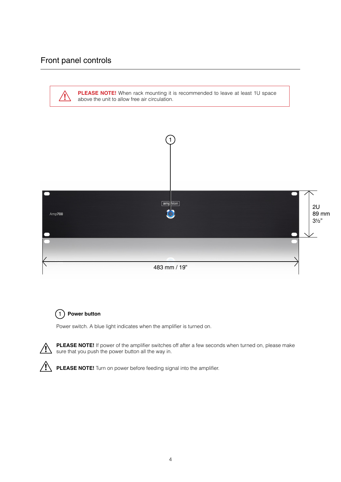

 $(1)$ **Power button**

Power switch. A blue light indicates when the amplifier is turned on.



PLEASE NOTE! If power of the amplifier switches off after a few seconds when turned on, please make sure that you push the power button all the way in.

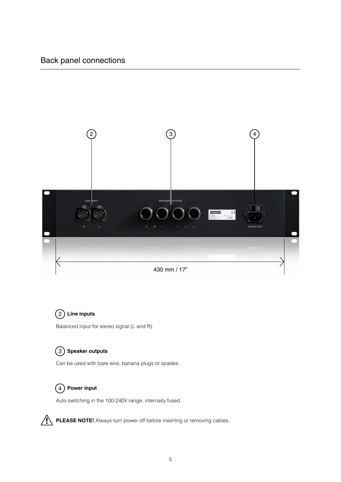



Balanced input for stereo signal (L and R).

#### 3 **Speaker outputs**

Can be used with bare wire, banana plugs or spades.

#### 4 **Power input**

Auto switching in the 100-240V range, internally fused.

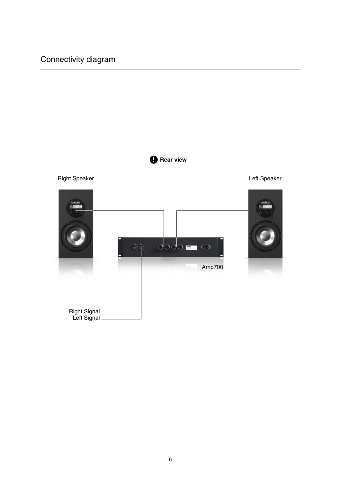# Connectivity diagram

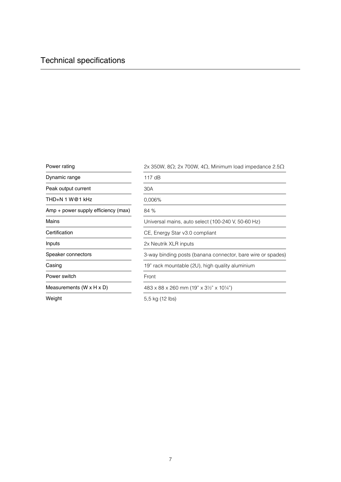| Power rating                         | 2x 350W, 8Ω; 2x 700W, 4Ω, Minimum load impedance 2.5Ω       |  |
|--------------------------------------|-------------------------------------------------------------|--|
| Dynamic range                        | 117 $dB$                                                    |  |
| Peak output current                  | 30A                                                         |  |
| THD+N 1 W@1 kHz                      | 0,006%                                                      |  |
| Amp + power supply efficiency (max)  | 84 %                                                        |  |
| Mains                                | Universal mains, auto select (100-240 V, 50-60 Hz)          |  |
| Certification                        | CE, Energy Star v3.0 compliant                              |  |
| Inputs                               | 2x Neutrik XLR inputs                                       |  |
| Speaker connectors                   | 3-way binding posts (banana connector, bare wire or spades) |  |
| Casing                               | 19" rack mountable (2U), high quality aluminium             |  |
| Power switch                         | Front                                                       |  |
| Measurements $(W \times H \times D)$ | $483 \times 88 \times 260$ mm (19" x 31/2" x 101/4")        |  |
| Weight                               | 5,5 kg (12 lbs)                                             |  |